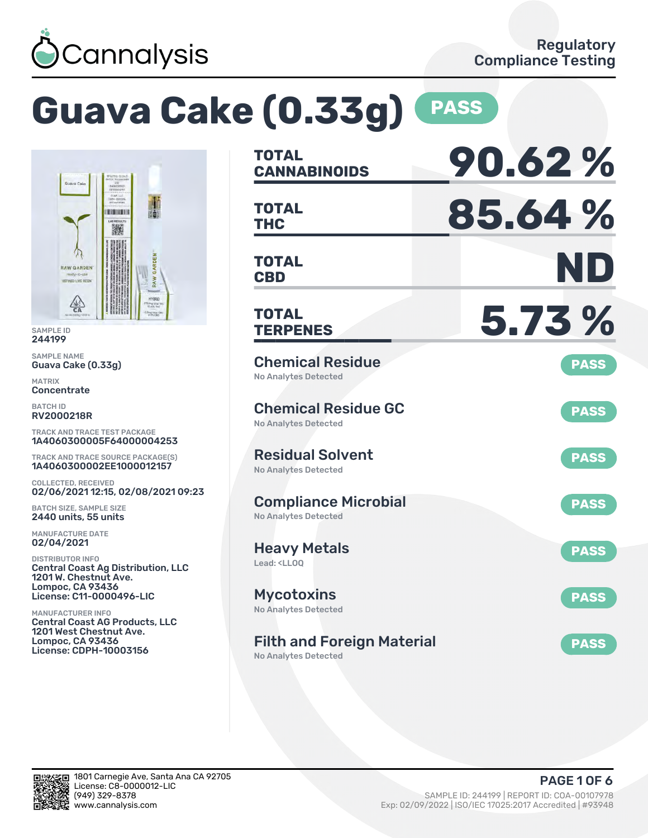

# **Guava Cake (0.33g) PASS**



SAMPLE ID 244199

SAMPLE NAME Guava Cake (0.33g)

MATRIX **Concentrate** 

BATCH ID RV2000218R

TRACK AND TRACE TEST PACKAGE 1A4060300005F64000004253

TRACK AND TRACE SOURCE PACKAGE(S) 1A4060300002EE1000012157

COLLECTED, RECEIVED 02/06/2021 12:15, 02/08/2021 09:23

BATCH SIZE, SAMPLE SIZE 2440 units, 55 units

MANUFACTURE DATE 02/04/2021

DISTRIBUTOR INFO Central Coast Ag Distribution, LLC 1201 W. Chestnut Ave. Lompoc, CA 93436 License: C11-0000496-LIC

MANUFACTURER INFO Central Coast AG Products, LLC 1201 West Chestnut Ave. Lompoc, CA 93436 License: CDPH-10003156

| <b>TOTAL</b><br><b>CANNABINOIDS</b>                                    | 90.62%      |
|------------------------------------------------------------------------|-------------|
| <b>TOTAL</b><br><b>THC</b>                                             | 85.64%      |
| <b>TOTAL</b><br><b>CBD</b>                                             | ND          |
| TOTAL<br><b>TERPENES</b>                                               | 5.73 %      |
| <b>Chemical Residue</b><br><b>No Analytes Detected</b>                 | <b>PASS</b> |
| <b>Chemical Residue GC</b><br><b>No Analytes Detected</b>              | <b>PASS</b> |
| <b>Residual Solvent</b><br><b>No Analytes Detected</b>                 | <b>PASS</b> |
| <b>Compliance Microbial</b><br><b>No Analytes Detected</b>             | <b>PASS</b> |
| <b>Heavy Metals</b><br>Lead: <ll00< td=""><td><b>PASS</b></td></ll00<> | <b>PASS</b> |
| <b>Mycotoxins</b><br>No Analytes Detected                              | <b>PASS</b> |
| <b>Filth and Foreign Material</b><br><b>No Analytes Detected</b>       | <b>PASS</b> |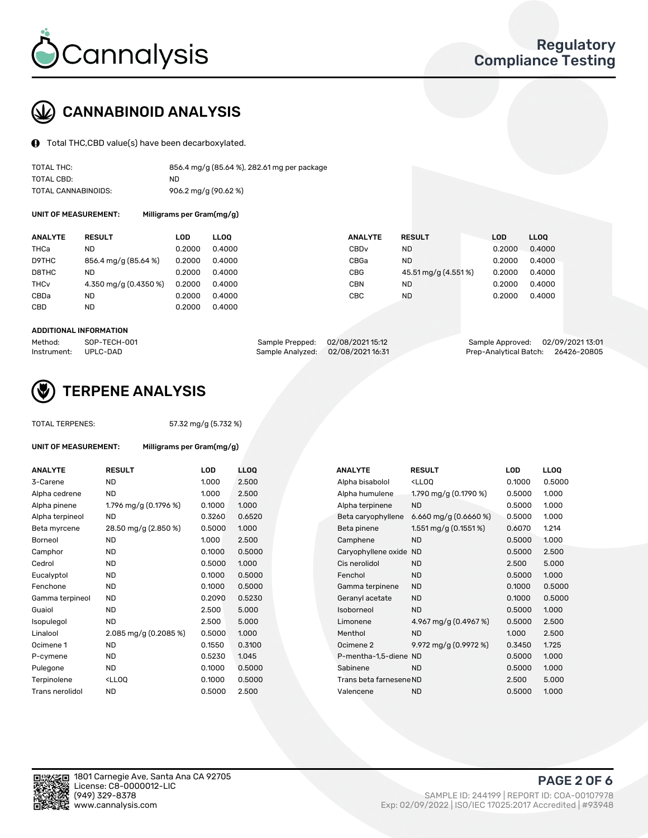

# CANNABINOID ANALYSIS

Total THC,CBD value(s) have been decarboxylated.

| TOTAL THC:          | 856.4 mg/g (85.64 %), 282.61 mg per package |
|---------------------|---------------------------------------------|
| TOTAL CBD:          | ND.                                         |
| TOTAL CANNABINOIDS: | 906.2 mg/g (90.62 %)                        |

UNIT OF MEASUREMENT: Milligrams per Gram(mg/g)

| <b>ANALYTE</b>         | <b>RESULT</b>         | LOD    | <b>LLOO</b> | <b>ANALYTE</b>   | <b>RESULT</b>       | LOD    | <b>LLOO</b> |
|------------------------|-----------------------|--------|-------------|------------------|---------------------|--------|-------------|
| THCa                   | ND                    | 0.2000 | 0.4000      | CBD <sub>v</sub> | <b>ND</b>           | 0.2000 | 0.4000      |
| D9THC                  | 856.4 mg/g (85.64 %)  | 0.2000 | 0.4000      | CBGa             | ND.                 | 0.2000 | 0.4000      |
| D8THC                  | ND                    | 0.2000 | 0.4000      | CBG              | 45.51 mg/g (4.551%) | 0.2000 | 0.4000      |
| <b>THC<sub>v</sub></b> | 4.350 mg/g (0.4350 %) | 0.2000 | 0.4000      | CBN              | ND.                 | 0.2000 | 0.4000      |
| CBDa                   | ND                    | 0.2000 | 0.4000      | CBC              | <b>ND</b>           | 0.2000 | 0.4000      |
| CBD                    | ND                    | 0.2000 | 0.4000      |                  |                     |        |             |
|                        |                       |        |             |                  |                     |        |             |

#### ADDITIONAL INFORMATION

| Method:              | SOP-TECH-001 | Sample Prepped: 02/08/2021 15:12 | Sample Approved: 02/09/2021 13:01  |  |
|----------------------|--------------|----------------------------------|------------------------------------|--|
| Instrument: UPLC-DAD |              | Sample Analyzed: 02/08/202116:31 | Prep-Analytical Batch: 26426-20805 |  |



## TERPENE ANALYSIS

UNIT OF MEASUREMENT: Milligrams per Gram(mg/g)

| TUTAL TERFENES. |  |
|-----------------|--|
|                 |  |
|                 |  |

TOTAL TERPENES: 57.32 mg/g (5.732 %)

| <b>ANALYTE</b>  | <b>RESULT</b>                                                                                                            | <b>LOD</b> | <b>LLOQ</b> | <b>ANALYTE</b>          | <b>RESULT</b>                                       | <b>LOD</b> | <b>LLOQ</b> |
|-----------------|--------------------------------------------------------------------------------------------------------------------------|------------|-------------|-------------------------|-----------------------------------------------------|------------|-------------|
| 3-Carene        | <b>ND</b>                                                                                                                | 1.000      | 2.500       | Alpha bisabolol         | <ll0q< td=""><td>0.1000</td><td>0.5000</td></ll0q<> | 0.1000     | 0.5000      |
| Alpha cedrene   | <b>ND</b>                                                                                                                | 1.000      | 2.500       | Alpha humulene          | 1.790 mg/g (0.1790 %)                               | 0.5000     | 1.000       |
| Alpha pinene    | 1.796 mg/g (0.1796 %)                                                                                                    | 0.1000     | 1.000       | Alpha terpinene         | <b>ND</b>                                           | 0.5000     | 1.000       |
| Alpha terpineol | <b>ND</b>                                                                                                                | 0.3260     | 0.6520      | Beta caryophyllene      | 6.660 mg/g $(0.6660\%)$                             | 0.5000     | 1.000       |
| Beta myrcene    | 28.50 mg/g (2.850 %)                                                                                                     | 0.5000     | 1.000       | Beta pinene             | 1.551 mg/g $(0.1551\%)$                             | 0.6070     | 1.214       |
| Borneol         | <b>ND</b>                                                                                                                | 1.000      | 2.500       | Camphene                | <b>ND</b>                                           | 0.5000     | 1.000       |
| Camphor         | <b>ND</b>                                                                                                                | 0.1000     | 0.5000      | Caryophyllene oxide ND  |                                                     | 0.5000     | 2.500       |
| Cedrol          | <b>ND</b>                                                                                                                | 0.5000     | 1.000       | Cis nerolidol           | <b>ND</b>                                           | 2.500      | 5.000       |
| Eucalyptol      | <b>ND</b>                                                                                                                | 0.1000     | 0.5000      | Fenchol                 | <b>ND</b>                                           | 0.5000     | 1.000       |
| Fenchone        | <b>ND</b>                                                                                                                | 0.1000     | 0.5000      | Gamma terpinene         | <b>ND</b>                                           | 0.1000     | 0.5000      |
| Gamma terpineol | <b>ND</b>                                                                                                                | 0.2090     | 0.5230      | Geranyl acetate         | <b>ND</b>                                           | 0.1000     | 0.5000      |
| Guaiol          | <b>ND</b>                                                                                                                | 2.500      | 5.000       | Isoborneol              | <b>ND</b>                                           | 0.5000     | 1.000       |
| Isopulegol      | <b>ND</b>                                                                                                                | 2.500      | 5.000       | Limonene                | 4.967 mg/g (0.4967 %)                               | 0.5000     | 2.500       |
| Linalool        | 2.085 mg/g $(0.2085\%)$                                                                                                  | 0.5000     | 1.000       | Menthol                 | <b>ND</b>                                           | 1.000      | 2.500       |
| Ocimene 1       | <b>ND</b>                                                                                                                | 0.1550     | 0.3100      | Ocimene 2               | 9.972 mg/g (0.9972 %)                               | 0.3450     | 1.725       |
| P-cymene        | <b>ND</b>                                                                                                                | 0.5230     | 1.045       | P-mentha-1,5-diene ND   |                                                     | 0.5000     | 1.000       |
| Pulegone        | <b>ND</b>                                                                                                                | 0.1000     | 0.5000      | Sabinene                | <b>ND</b>                                           | 0.5000     | 1.000       |
| Terpinolene     | <lloq< td=""><td>0.1000</td><td>0.5000</td><td>Trans beta farnesene ND</td><td></td><td>2.500</td><td>5.000</td></lloq<> | 0.1000     | 0.5000      | Trans beta farnesene ND |                                                     | 2.500      | 5.000       |
| Trans nerolidol | <b>ND</b>                                                                                                                | 0.5000     | 2.500       | Valencene               | <b>ND</b>                                           | 0.5000     | 1.000       |
|                 |                                                                                                                          |            |             |                         |                                                     |            |             |

| ANALYTF                 | <b>RESULT</b>                                       | LOD    | LLOO   |
|-------------------------|-----------------------------------------------------|--------|--------|
| Alpha bisabolol         | <lloq< td=""><td>0.1000</td><td>0.5000</td></lloq<> | 0.1000 | 0.5000 |
| Alpha humulene          | 1.790 mg/g (0.1790 %)                               | 0.5000 | 1.000  |
| Alpha terpinene         | <b>ND</b>                                           | 0.5000 | 1.000  |
| Beta caryophyllene      | 6.660 mg/g $(0.6660\%)$                             | 0.5000 | 1.000  |
| Beta pinene             | 1.551 mg/g (0.1551 %)                               | 0.6070 | 1.214  |
| Camphene                | <b>ND</b>                                           | 0.5000 | 1.000  |
| Caryophyllene oxide     | <b>ND</b>                                           | 0.5000 | 2.500  |
| Cis nerolidol           | <b>ND</b>                                           | 2.500  | 5.000  |
| Fenchol                 | <b>ND</b>                                           | 0.5000 | 1.000  |
| Gamma terpinene         | <b>ND</b>                                           | 0.1000 | 0.5000 |
| Geranyl acetate         | <b>ND</b>                                           | 0.1000 | 0.5000 |
| Isoborneol              | <b>ND</b>                                           | 0.5000 | 1.000  |
| Limonene                | 4.967 mg/g (0.4967 %)                               | 0.5000 | 2.500  |
| Menthol                 | <b>ND</b>                                           | 1.000  | 2.500  |
| Ocimene <sub>2</sub>    | 9.972 mg/g (0.9972 %)                               | 0.3450 | 1.725  |
| P-mentha-1,5-diene ND   |                                                     | 0.5000 | 1.000  |
| Sabinene                | <b>ND</b>                                           | 0.5000 | 1.000  |
| Trans beta farnesene ND |                                                     | 2.500  | 5.000  |
| Valencene               | <b>ND</b>                                           | 0.5000 | 1.000  |
|                         |                                                     |        |        |

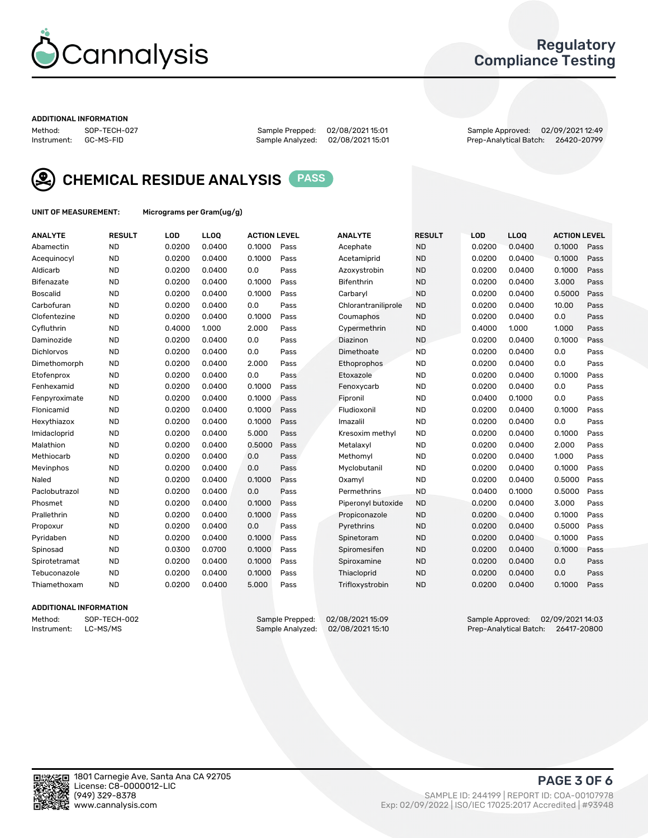

## Regulatory Compliance Testing

#### ADDITIONAL INFORMATION

Method: SOP-TECH-027 Sample Prepped: 02/08/2021 15:01 Sample Approved: 02/09/2021 12:49 Prep-Analytical Batch: 26420-20799



CHEMICAL RESIDUE ANALYSIS PASS

UNIT OF MEASUREMENT: Micrograms per Gram(ug/g)

| <b>ANALYTE</b>    | <b>RESULT</b> | LOD    | <b>LLOQ</b> | <b>ACTION LEVEL</b> |      | <b>ANALYTE</b>      | <b>RESULT</b> | LOD    | <b>LLOQ</b> | <b>ACTION LEVEL</b> |      |
|-------------------|---------------|--------|-------------|---------------------|------|---------------------|---------------|--------|-------------|---------------------|------|
| Abamectin         | <b>ND</b>     | 0.0200 | 0.0400      | 0.1000              | Pass | Acephate            | <b>ND</b>     | 0.0200 | 0.0400      | 0.1000              | Pass |
| Acequinocyl       | <b>ND</b>     | 0.0200 | 0.0400      | 0.1000              | Pass | Acetamiprid         | <b>ND</b>     | 0.0200 | 0.0400      | 0.1000              | Pass |
| Aldicarb          | <b>ND</b>     | 0.0200 | 0.0400      | 0.0                 | Pass | Azoxystrobin        | <b>ND</b>     | 0.0200 | 0.0400      | 0.1000              | Pass |
| Bifenazate        | <b>ND</b>     | 0.0200 | 0.0400      | 0.1000              | Pass | <b>Bifenthrin</b>   | <b>ND</b>     | 0.0200 | 0.0400      | 3.000               | Pass |
| <b>Boscalid</b>   | <b>ND</b>     | 0.0200 | 0.0400      | 0.1000              | Pass | Carbarvl            | <b>ND</b>     | 0.0200 | 0.0400      | 0.5000              | Pass |
| Carbofuran        | <b>ND</b>     | 0.0200 | 0.0400      | 0.0                 | Pass | Chlorantraniliprole | <b>ND</b>     | 0.0200 | 0.0400      | 10.00               | Pass |
| Clofentezine      | <b>ND</b>     | 0.0200 | 0.0400      | 0.1000              | Pass | Coumaphos           | <b>ND</b>     | 0.0200 | 0.0400      | 0.0                 | Pass |
| Cyfluthrin        | <b>ND</b>     | 0.4000 | 1.000       | 2.000               | Pass | Cypermethrin        | <b>ND</b>     | 0.4000 | 1.000       | 1.000               | Pass |
| Daminozide        | <b>ND</b>     | 0.0200 | 0.0400      | 0.0                 | Pass | Diazinon            | <b>ND</b>     | 0.0200 | 0.0400      | 0.1000              | Pass |
| <b>Dichlorvos</b> | <b>ND</b>     | 0.0200 | 0.0400      | 0.0                 | Pass | Dimethoate          | <b>ND</b>     | 0.0200 | 0.0400      | 0.0                 | Pass |
| Dimethomorph      | <b>ND</b>     | 0.0200 | 0.0400      | 2.000               | Pass | <b>Ethoprophos</b>  | <b>ND</b>     | 0.0200 | 0.0400      | 0.0                 | Pass |
| Etofenprox        | <b>ND</b>     | 0.0200 | 0.0400      | 0.0                 | Pass | Etoxazole           | <b>ND</b>     | 0.0200 | 0.0400      | 0.1000              | Pass |
| Fenhexamid        | <b>ND</b>     | 0.0200 | 0.0400      | 0.1000              | Pass | Fenoxycarb          | <b>ND</b>     | 0.0200 | 0.0400      | 0.0                 | Pass |
| Fenpyroximate     | <b>ND</b>     | 0.0200 | 0.0400      | 0.1000              | Pass | Fipronil            | <b>ND</b>     | 0.0400 | 0.1000      | 0.0                 | Pass |
| Flonicamid        | <b>ND</b>     | 0.0200 | 0.0400      | 0.1000              | Pass | Fludioxonil         | <b>ND</b>     | 0.0200 | 0.0400      | 0.1000              | Pass |
| Hexythiazox       | <b>ND</b>     | 0.0200 | 0.0400      | 0.1000              | Pass | Imazalil            | <b>ND</b>     | 0.0200 | 0.0400      | 0.0                 | Pass |
| Imidacloprid      | <b>ND</b>     | 0.0200 | 0.0400      | 5.000               | Pass | Kresoxim methyl     | <b>ND</b>     | 0.0200 | 0.0400      | 0.1000              | Pass |
| Malathion         | <b>ND</b>     | 0.0200 | 0.0400      | 0.5000              | Pass | Metalaxyl           | <b>ND</b>     | 0.0200 | 0.0400      | 2.000               | Pass |
| Methiocarb        | <b>ND</b>     | 0.0200 | 0.0400      | 0.0                 | Pass | Methomyl            | <b>ND</b>     | 0.0200 | 0.0400      | 1.000               | Pass |
| Mevinphos         | <b>ND</b>     | 0.0200 | 0.0400      | 0.0                 | Pass | Myclobutanil        | <b>ND</b>     | 0.0200 | 0.0400      | 0.1000              | Pass |
| Naled             | <b>ND</b>     | 0.0200 | 0.0400      | 0.1000              | Pass | Oxamyl              | <b>ND</b>     | 0.0200 | 0.0400      | 0.5000              | Pass |
| Paclobutrazol     | <b>ND</b>     | 0.0200 | 0.0400      | 0.0                 | Pass | Permethrins         | <b>ND</b>     | 0.0400 | 0.1000      | 0.5000              | Pass |
| Phosmet           | <b>ND</b>     | 0.0200 | 0.0400      | 0.1000              | Pass | Piperonyl butoxide  | <b>ND</b>     | 0.0200 | 0.0400      | 3.000               | Pass |
| Prallethrin       | <b>ND</b>     | 0.0200 | 0.0400      | 0.1000              | Pass | Propiconazole       | <b>ND</b>     | 0.0200 | 0.0400      | 0.1000              | Pass |
| Propoxur          | <b>ND</b>     | 0.0200 | 0.0400      | 0.0                 | Pass | Pyrethrins          | <b>ND</b>     | 0.0200 | 0.0400      | 0.5000              | Pass |
| Pyridaben         | <b>ND</b>     | 0.0200 | 0.0400      | 0.1000              | Pass | Spinetoram          | <b>ND</b>     | 0.0200 | 0.0400      | 0.1000              | Pass |
| Spinosad          | <b>ND</b>     | 0.0300 | 0.0700      | 0.1000              | Pass | Spiromesifen        | <b>ND</b>     | 0.0200 | 0.0400      | 0.1000              | Pass |
| Spirotetramat     | <b>ND</b>     | 0.0200 | 0.0400      | 0.1000              | Pass | Spiroxamine         | <b>ND</b>     | 0.0200 | 0.0400      | 0.0                 | Pass |
| Tebuconazole      | <b>ND</b>     | 0.0200 | 0.0400      | 0.1000              | Pass | Thiacloprid         | <b>ND</b>     | 0.0200 | 0.0400      | 0.0                 | Pass |
| Thiamethoxam      | <b>ND</b>     | 0.0200 | 0.0400      | 5.000               | Pass | Trifloxystrobin     | <b>ND</b>     | 0.0200 | 0.0400      | 0.1000              | Pass |

### ADDITIONAL INFORMATION

Method: SOP-TECH-002 Sample Prepped: 02/08/2021 15:09 Sample Approved: 02/09/2021 14:03<br>Instrument: LC-MS/MS Sample Analyzed: 02/08/2021 15:10 Prep-Analytical Batch: 26417-20800 Prep-Analytical Batch: 26417-20800

PAGE 3 OF 6

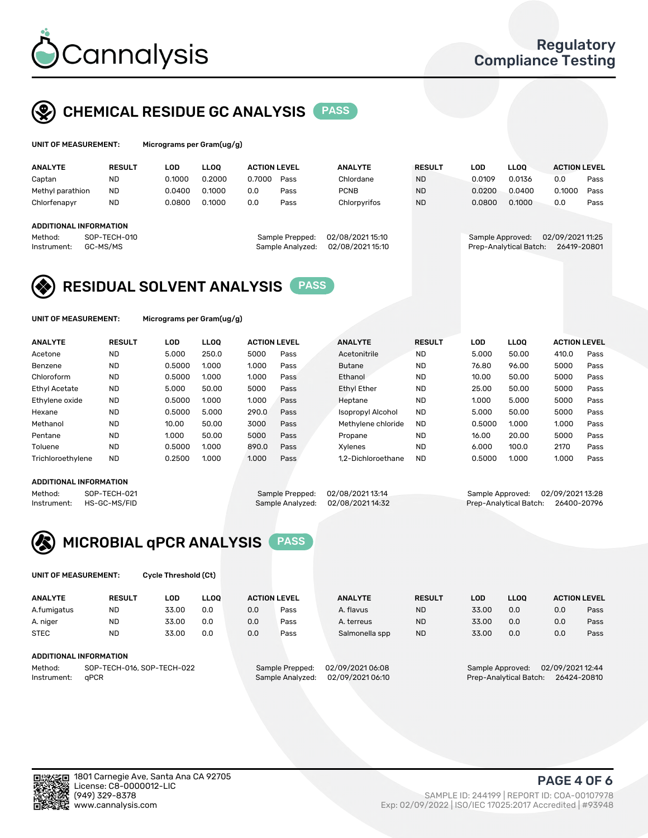

## CHEMICAL RESIDUE GC ANALYSIS PASS

| UNIT OF MEASUREMENT: | м |
|----------------------|---|
|                      |   |

icrograms per Gram(ug/g)

| <b>ANALYTE</b>                | <b>RESULT</b> | LOD    | <b>LLOO</b> | <b>ACTION LEVEL</b> |                  | <b>ANALYTE</b>   | <b>RESULT</b> | LOD              | <b>LLOO</b>            | <b>ACTION LEVEL</b> |      |
|-------------------------------|---------------|--------|-------------|---------------------|------------------|------------------|---------------|------------------|------------------------|---------------------|------|
| Captan                        | <b>ND</b>     | 0.1000 | 0.2000      | 0.7000              | Pass             | Chlordane        | <b>ND</b>     | 0.0109           | 0.0136                 | 0.0                 | Pass |
| Methyl parathion              | <b>ND</b>     | 0.0400 | 0.1000      | 0.0                 | Pass             | <b>PCNB</b>      | <b>ND</b>     | 0.0200           | 0.0400                 | 0.1000              | Pass |
| Chlorfenapyr                  | <b>ND</b>     | 0.0800 | 0.1000      | 0.0                 | Pass             | Chlorpyrifos     | <b>ND</b>     | 0.0800           | 0.1000                 | 0.0                 | Pass |
|                               |               |        |             |                     |                  |                  |               |                  |                        |                     |      |
| <b>ADDITIONAL INFORMATION</b> |               |        |             |                     |                  |                  |               |                  |                        |                     |      |
| Method:                       | SOP-TECH-010  |        |             |                     | Sample Prepped:  | 02/08/2021 15:10 |               | Sample Approved: |                        | 02/09/2021 11:25    |      |
| Instrument:                   | GC-MS/MS      |        |             |                     | Sample Analyzed: | 02/08/202115:10  |               |                  | Prep-Analytical Batch: | 26419-20801         |      |
|                               |               |        |             |                     |                  |                  |               |                  |                        |                     |      |

## RESIDUAL SOLVENT ANALYSIS PASS

UNIT OF MEASUREMENT: Micrograms per Gram(ug/g)

| <b>ANALYTE</b>       | <b>RESULT</b> | LOD    | <b>LLOO</b> | <b>ACTION LEVEL</b> |      | <b>ANALYTE</b>           | <b>RESULT</b> | LOD    | LLOO  | <b>ACTION LEVEL</b> |      |
|----------------------|---------------|--------|-------------|---------------------|------|--------------------------|---------------|--------|-------|---------------------|------|
| Acetone              | <b>ND</b>     | 5.000  | 250.0       | 5000                | Pass | Acetonitrile             | <b>ND</b>     | 5.000  | 50.00 | 410.0               | Pass |
| Benzene              | <b>ND</b>     | 0.5000 | 1.000       | 1.000               | Pass | <b>Butane</b>            | <b>ND</b>     | 76.80  | 96.00 | 5000                | Pass |
| Chloroform           | <b>ND</b>     | 0.5000 | 1.000       | 1.000               | Pass | Ethanol                  | <b>ND</b>     | 10.00  | 50.00 | 5000                | Pass |
| <b>Ethyl Acetate</b> | <b>ND</b>     | 5.000  | 50.00       | 5000                | Pass | <b>Ethyl Ether</b>       | <b>ND</b>     | 25.00  | 50.00 | 5000                | Pass |
| Ethylene oxide       | <b>ND</b>     | 0.5000 | 1.000       | 1.000               | Pass | Heptane                  | <b>ND</b>     | 1.000  | 5.000 | 5000                | Pass |
| Hexane               | <b>ND</b>     | 0.5000 | 5.000       | 290.0               | Pass | <b>Isopropyl Alcohol</b> | <b>ND</b>     | 5.000  | 50.00 | 5000                | Pass |
| Methanol             | <b>ND</b>     | 10.00  | 50.00       | 3000                | Pass | Methylene chloride       | <b>ND</b>     | 0.5000 | 1.000 | 1.000               | Pass |
| Pentane              | <b>ND</b>     | 1.000  | 50.00       | 5000                | Pass | Propane                  | <b>ND</b>     | 16.00  | 20.00 | 5000                | Pass |
| Toluene              | <b>ND</b>     | 0.5000 | 1.000       | 890.0               | Pass | Xvlenes                  | <b>ND</b>     | 6.000  | 100.0 | 2170                | Pass |
| Trichloroethylene    | <b>ND</b>     | 0.2500 | 1.000       | 1.000               | Pass | 1.2-Dichloroethane       | <b>ND</b>     | 0.5000 | 1.000 | 1.000               | Pass |

#### ADDITIONAL INFORMATION

Method: SOP-TECH-021 Sample Prepped: 02/08/2021 13:14 Sample Approved: 02/09/2021 13:28<br>Sample Analyzed: 02/08/2021 14:32 Prep-Analytical Batch: 26400-20796 Prep-Analytical Batch: 26400-20796



UNIT OF MEASUREMENT: Cycle Threshold (Ct)

| <b>ANALYTE</b>                        | <b>RESULT</b>                 | LOD   | <b>LLOO</b> | <b>ACTION LEVEL</b> |                 | <b>ANALYTE</b>  | <b>RESULT</b> | LOD              | <b>LLOO</b> |                  | <b>ACTION LEVEL</b> |
|---------------------------------------|-------------------------------|-------|-------------|---------------------|-----------------|-----------------|---------------|------------------|-------------|------------------|---------------------|
| A.fumigatus                           | <b>ND</b>                     | 33.00 | 0.0         | 0.0                 | Pass            | A. flavus       | <b>ND</b>     | 33.00            | 0.0         | 0.0              | Pass                |
| A. niger                              | <b>ND</b>                     | 33.00 | 0.0         | 0.0                 | Pass            | A. terreus      | <b>ND</b>     | 33.00            | 0.0         | 0.0              | Pass                |
| <b>STEC</b>                           | <b>ND</b>                     | 33.00 | 0.0         | 0.0                 | Pass            | Salmonella spp  | <b>ND</b>     | 33.00            | 0.0         | 0.0              | Pass                |
|                                       | <b>ADDITIONAL INFORMATION</b> |       |             |                     |                 |                 |               |                  |             |                  |                     |
| SOP-TECH-016, SOP-TECH-022<br>Method: |                               |       |             |                     | Sample Prepped: | 02/09/202106:08 |               | Sample Approved: |             | 02/09/2021 12:44 |                     |

Instrument: qPCR Sample Analyzed: 02/09/2021 06:10 Prep-Analytical Batch: 26424-20810

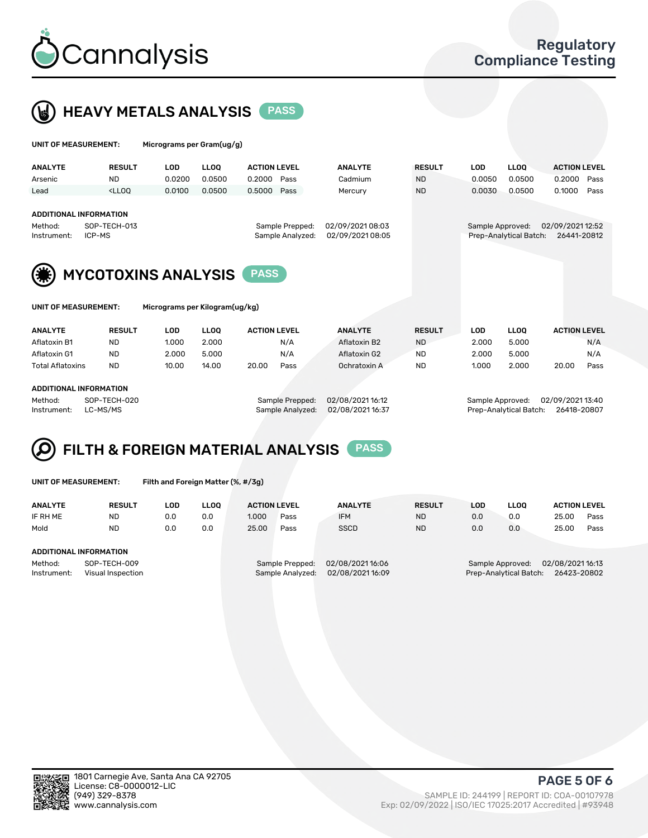

 $U$ UNIT OF MEASUREMENT: Micrograms per Gram(ug/g)



| <b>ANALYTE</b>                                                                    | <b>RESULT</b>                                                                                                                                                           | <b>LOD</b>                                       | <b>LLOO</b> | <b>ACTION LEVEL</b> |                                                                            | <b>ANALYTE</b> | <b>RESULT</b>                              | <b>LOD</b>  | <b>LLOO</b>         | <b>ACTION LEVEL</b>             |  |  |
|-----------------------------------------------------------------------------------|-------------------------------------------------------------------------------------------------------------------------------------------------------------------------|--------------------------------------------------|-------------|---------------------|----------------------------------------------------------------------------|----------------|--------------------------------------------|-------------|---------------------|---------------------------------|--|--|
| Arsenic                                                                           | <b>ND</b>                                                                                                                                                               | 0.0200                                           | 0.0500      | 0.2000              | Pass                                                                       | Cadmium        | <b>ND</b>                                  | 0.0050      | 0.0500              | 0.2000<br>Pass                  |  |  |
| Lead                                                                              | <lloo< td=""><td>0.0100</td><td>0.0500</td><td>0.5000</td><td>Pass</td><td>Mercury</td><td><b>ND</b></td><td>0.0030</td><td>0.0500</td><td>0.1000<br/>Pass</td></lloo<> | 0.0100                                           | 0.0500      | 0.5000              | Pass                                                                       | Mercury        | <b>ND</b>                                  | 0.0030      | 0.0500              | 0.1000<br>Pass                  |  |  |
| <b>ADDITIONAL INFORMATION</b><br>SOP-TECH-013<br>Method:<br>ICP-MS<br>Instrument: |                                                                                                                                                                         |                                                  |             |                     | 02/09/202108:03<br>Sample Prepped:<br>02/09/2021 08:05<br>Sample Analyzed: |                | Sample Approved:<br>Prep-Analytical Batch: |             |                     | 02/09/2021 12:52<br>26441-20812 |  |  |
| <b>MYCOTOXINS ANALYSIS</b><br><b>PASS</b>                                         |                                                                                                                                                                         |                                                  |             |                     |                                                                            |                |                                            |             |                     |                                 |  |  |
| Micrograms per Kilogram(ug/kg)<br>UNIT OF MEASUREMENT:                            |                                                                                                                                                                         |                                                  |             |                     |                                                                            |                |                                            |             |                     |                                 |  |  |
| <b>ANALYTE</b>                                                                    | <b>RESULT</b>                                                                                                                                                           | <b>LOD</b><br><b>LLOO</b><br><b>ACTION LEVEL</b> |             |                     | <b>ANALYTE</b>                                                             | <b>RESULT</b>  | LOD                                        | <b>LLOO</b> | <b>ACTION LEVEL</b> |                                 |  |  |

| Aflatoxin B1            | <b>ND</b> | 1.000 | 2.000 |       | N/A  | Aflatoxin B2 | <b>ND</b> | 2.000 | 5.000 |       | N/A  |
|-------------------------|-----------|-------|-------|-------|------|--------------|-----------|-------|-------|-------|------|
| Aflatoxin G1            | ND        | 2.000 | 5.000 |       | N/A  | Aflatoxin G2 | <b>ND</b> | 2.000 | 5.000 |       | N/A  |
| <b>Total Aflatoxins</b> | <b>ND</b> | 10.00 | 14.00 | 20.00 | Pass | Ochratoxin A | <b>ND</b> | 1.000 | 2.000 | 20.00 | Pass |
|                         |           |       |       |       |      |              |           |       |       |       |      |
| ADDITIONAL INFORMATION  |           |       |       |       |      |              |           |       |       |       |      |

Method: SOP-TECH-020 Sample Prepped: 02/08/2021 16:12 Sample Approved: 02/09/2021 13:40 Instrument: LC-MS/MS Sample Analyzed: 02/08/2021 16:37 Prep-Analytical Batch: 26418-20807

#### FILTH & FOREIGN MATERIAL ANALYSIS PASS Q

UNIT OF MEASUREMENT: Filth and Foreign Matter (%, #/3g)

| <b>ANALYTE</b>                                              | <b>RESULT</b> | LOD | <b>LLOO</b> | <b>ACTION LEVEL</b> |                                     | <b>ANALYTE</b>                     | <b>RESULT</b>                                                                 | LOD | <b>LLOO</b> | <b>ACTION LEVEL</b> |      |
|-------------------------------------------------------------|---------------|-----|-------------|---------------------|-------------------------------------|------------------------------------|-------------------------------------------------------------------------------|-----|-------------|---------------------|------|
| IF RH ME                                                    | <b>ND</b>     | 0.0 | 0.0         | 1.000               | Pass                                | <b>IFM</b>                         | <b>ND</b>                                                                     | 0.0 | 0.0         | 25.00               | Pass |
| Mold                                                        | <b>ND</b>     | 0.0 | 0.0         | 25.00               | Pass                                | <b>SSCD</b>                        | <b>ND</b>                                                                     | 0.0 | 0.0         | 25.00               | Pass |
| ADDITIONAL INFORMATION                                      |               |     |             |                     |                                     |                                    |                                                                               |     |             |                     |      |
| Method:<br>SOP-TECH-009<br>Instrument:<br>Visual Inspection |               |     |             |                     | Sample Prepped:<br>Sample Analyzed: | 02/08/202116:06<br>02/08/202116:09 | 02/08/2021 16:13<br>Sample Approved:<br>Prep-Analytical Batch:<br>26423-20802 |     |             |                     |      |